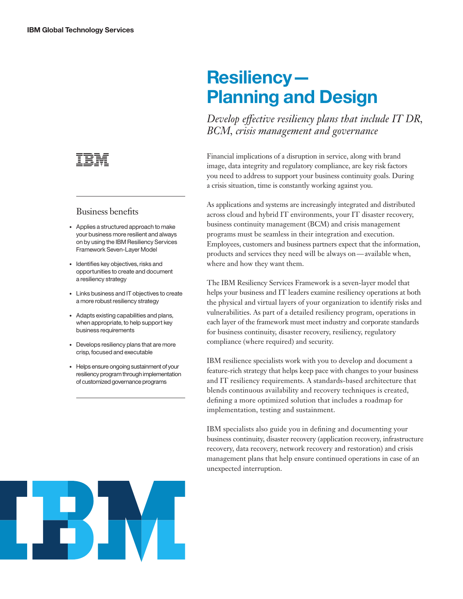

#### Business benefits

- Applies a structured approach to make your business more resilient and always on by using the IBM Resiliency Services Framework Seven-Layer Model
- Identifies key objectives, risks and opportunities to create and document a resiliency strategy
- Links business and IT objectives to create a more robust resiliency strategy
- Adapts existing capabilities and plans, when appropriate, to help support key business requirements
- Develops resiliency plans that are more crisp, focused and executable
- Helps ensure ongoing sustainment of your resiliency program through implementation of customized governance programs

# **Resiliency — Planning and Design**

*Develop effective resiliency plans that include IT DR, BCM, crisis management and governance*

Financial implications of a disruption in service, along with brand image, data integrity and regulatory compliance, are key risk factors you need to address to support your business continuity goals. During a crisis situation, time is constantly working against you.

As applications and systems are increasingly integrated and distributed across cloud and hybrid IT environments, your IT disaster recovery, business continuity management (BCM) and crisis management programs must be seamless in their integration and execution. Employees, customers and business partners expect that the information, products and services they need will be always on — available when, where and how they want them.

The IBM Resiliency Services Framework is a seven-layer model that helps your business and IT leaders examine resiliency operations at both the physical and virtual layers of your organization to identify risks and vulnerabilities. As part of a detailed resiliency program, operations in each layer of the framework must meet industry and corporate standards for business continuity, disaster recovery, resiliency, regulatory compliance (where required) and security.

IBM resilience specialists work with you to develop and document a feature-rich strategy that helps keep pace with changes to your business and IT resiliency requirements. A standards-based architecture that blends continuous availability and recovery techniques is created, defining a more optimized solution that includes a roadmap for implementation, testing and sustainment.

IBM specialists also guide you in defining and documenting your business continuity, disaster recovery (application recovery, infrastructure recovery, data recovery, network recovery and restoration) and crisis management plans that help ensure continued operations in case of an unexpected interruption.

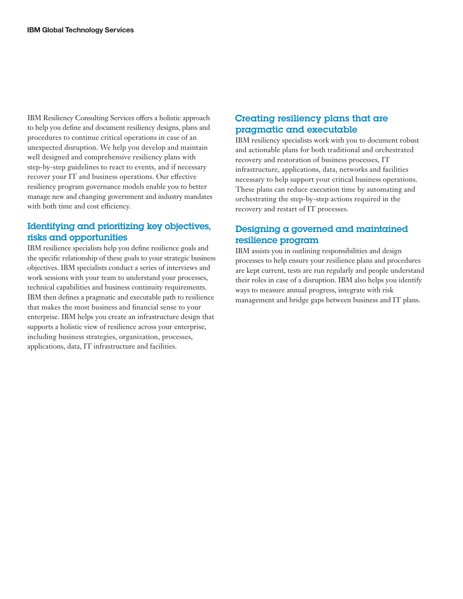IBM Resiliency Consulting Services offers a holistic approach to help you define and document resiliency designs, plans and procedures to continue critical operations in case of an unexpected disruption. We help you develop and maintain well designed and comprehensive resiliency plans with step-by-step guidelines to react to events, and if necessary recover your IT and business operations. Our effective resiliency program governance models enable you to better manage new and changing government and industry mandate s with both time and cost efficiency.

#### Identifying and prioritizing key objectives, risks and opportunities

IBM resilience specialists help you define resilience goals and the specific relationship of these goals to your strategic business objectives. IBM specialists conduct a series of interviews and work sessions with your team to understand your processes, technical capabilities and business continuity requirements. IBM then defines a pragmatic and executable path to resilience that makes the most business and financial sense to your enterprise. IBM helps you create an infrastructure design that supports a holistic view of resilience across your enterprise, including business strategies, organization, processes, applications, data, IT infrastructure and facilities.

## Creating resiliency plans that are pragmatic and executable

IBM resiliency specialists work with you to document robust and actionable plans for both traditional and orchestrated recovery and restoration of business processes, IT infrastructure, applications, data, networks and facilities necessary to help support your critical business operations. These plans can reduce execution time by automating and orchestrating the step-by-step actions required in the recovery and restart of IT processes.

## Designing a governed and maintained resilience program

IBM assists you in outlining responsibilities and design processes to help ensure your resilience plans and procedures are kept current, tests are run regularly and people understand their roles in case of a disruption. IBM also helps you identify ways to measure annual progress, integrate with risk management and bridge gaps between business and IT plans.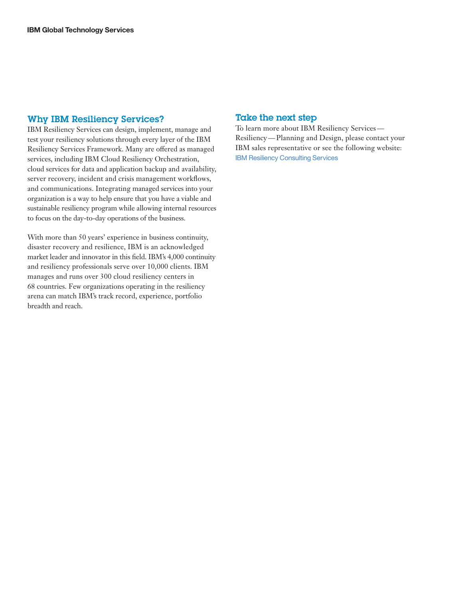#### Why IBM Resiliency Services?

IBM Resiliency Services can design, implement, manage and test your resiliency solutions through every layer of the IBM Resiliency Services Framework. Many are offered as managed services, including IBM Cloud Resiliency Orchestration, cloud services for data and application backup and availability, server recovery, incident and crisis management workflows, and communications. Integrating managed services into your organization is a way to help ensure that you have a viable and sustainable resiliency program while allowing internal resources to focus on the day-to-day operations of the business.

With more than 50 years' experience in business continuity, disaster recovery and resilience, IBM is an acknowledged market leader and innovator in this field. IBM's 4,000 continuity and resiliency professionals serve over 10,000 clients. IBM manages and runs over 300 cloud resiliency centers in 68 countries. Few organizations operating in the resiliency arena can match IBM's track record, experience, portfolio breadth and reach.

#### Take the next step

To learn more about IBM Resiliency Services — Resiliency — Planning and Design, please contact your IBM sales representative or see the following website: [IBM Resiliency Consulting Services](https://www.ibm.com/services/us/en/it-services/business-continuity/business-continuity-consulting/index.html)